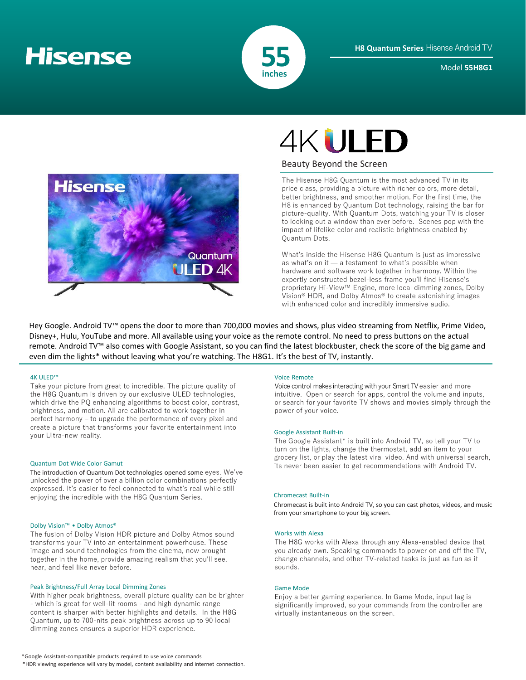# **Hisense**



Model **55H8G1**



# **4KULED**

## Beauty Beyond the Screen

The Hisense H8G Quantum is the most advanced TV in its price class, providing a picture with richer colors, more detail, better brightness, and smoother motion. For the first time, the H8 is enhanced by Quantum Dot technology, raising the bar for picture-quality. With Quantum Dots, watching your TV is closer to looking out a window than ever before. Scenes pop with the impact of lifelike color and realistic brightness enabled by Quantum Dots.

What's inside the Hisense H8G Quantum is just as impressive as what's on it — a testament to what's possible when hardware and software work together in harmony. Within the expertly constructed bezel-less frame you'll find Hisense's proprietary Hi-View™ Engine, more local dimming zones, Dolby Vision® HDR, and Dolby Atmos® to create astonishing images with enhanced color and incredibly immersive audio.

Hey Google. Android TV™ opens the door to more than 700,000 movies and shows, plus video streaming from Netflix, Prime Video, Disney+, Hulu, YouTube and more. All available using your voice as the remote control. No need to press buttons on the actual remote. Android TV™ also comes with Google Assistant, so you can find the latest blockbuster, check the score of the big game and even dim the lights\* without leaving what you're watching. The H8G1. It's the best of TV, instantly.

## 4K ULED™

Take your picture from great to incredible. The picture quality of the H8G Quantum is driven by our exclusive ULED technologies, which drive the PQ enhancing algorithms to boost color, contrast, brightness, and motion. All are calibrated to work together in perfect harmony – to upgrade the performance of every pixel and create a picture that transforms your favorite entertainment into your Ultra-new reality. Google Assistant Built-in

## Quantum Dot Wide Color Gamut

The introduction of Quantum Dot technologies opened some eyes. We've unlocked the power of over a billion color combinations perfectly expressed. It's easier to feel connected to what's real while still enjoying the incredible with the H8G Quantum Series.

## Dolby Vision™ • Dolby Atmos®

The fusion of Dolby Vision HDR picture and Dolby Atmos sound transforms your TV into an entertainment powerhouse. These image and sound technologies from the cinema, now brought together in the home, provide amazing realism that you'll see, hear, and feel like never before.

## Peak Brightness/Full Array Local Dimming Zones

With higher peak brightness, overall picture quality can be brighter - which is great for well-lit rooms - and high dynamic range content is sharper with better highlights and details. In the H8G Quantum, up to 700-nits peak brightness across up to 90 local dimming zones ensures a superior HDR experience.

### Voice Remote

Voice control makes interacting with your Smart TV easier and more intuitive. Open or search for apps, control the volume and inputs, or search for your favorite TV shows and movies simply through the power of your voice.

The Google Assistant\* is built into Android TV, so tell your TV to turn on the lights, change the thermostat, add an item to your grocery list, or play the latest viral video. And with universal search, its never been easier to get recommendations with Android TV.

## Chromecast Built-in

Chromecast is built into Android TV, so you can cast photos, videos, and music from your smartphone to your big screen.

## Works with Alexa

The H8G works with Alexa through any Alexa-enabled device that you already own. Speaking commands to power on and off the TV, change channels, and other TV-related tasks is just as fun as it sounds.

## Game Mode

Enjoy a better gaming experience. In Game Mode, input lag is significantly improved, so your commands from the controller are virtually instantaneous on the screen.